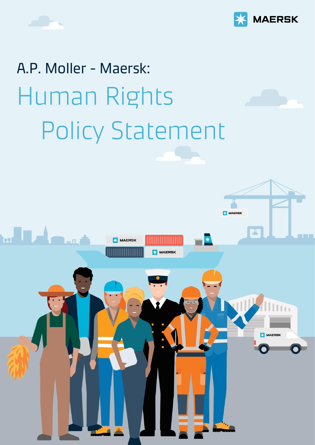



## A.P. Moller - Maersk: Human Rights Policy Statement

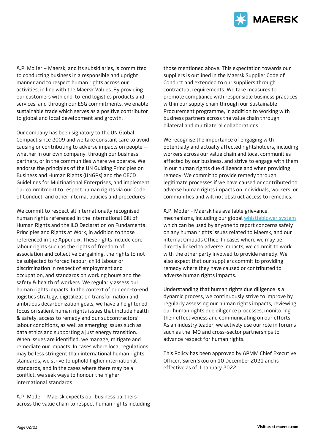

A.P. Moller – Maersk, and its subsidiaries, is committed to conducting business in a responsible and upright manner and to respect human rights across our activities, in line with the Maersk Values. By providing our customers with end-to-end logistics products and services, and through our ESG commitments, we enable sustainable trade which serves as a positive contributor to global and local development and growth.

Our company has been signatory to the UN Global Compact since 2009 and we take constant care to avoid causing or contributing to adverse impacts on people – whether in our own company, through our business partners, or in the communities where we operate. We endorse the principles of the UN Guiding Principles on Business and Human Rights (UNGPs) and the OECD Guidelines for Multinational Enterprises, and implement our commitment to respect human rights via our Code of Conduct, and other internal policies and procedures.

We commit to respect all internationally recognised human rights referenced in the International Bill of Human Rights and the ILO Declaration on Fundamental Principles and Rights at Work, in addition to those referenced in the Appendix. These rights include core labour rights such as the rights of freedom of association and collective bargaining, the rights to not be subjected to forced labour, child labour or discrimination in respect of employment and occupation, and standards on working hours and the safety & health of workers. We regularly assess our human rights impacts. In the context of our end-to-end logistics strategy, digitalization transformation and ambitious decarbonization goals, we have a heightened focus on salient human rights issues that include health & safety, access to remedy and our subcontractors' labour conditions, as well as emerging issues such as data ethics and supporting a just energy transition. When issues are identified, we manage, mitigate and remediate our impacts. In cases where local regulations may be less stringent than international human rights standards, we strive to uphold higher international standards, and in the cases where there may be a conflict, we seek ways to honour the higher international standards

A.P. Moller - Maersk expects our business partners across the value chain to respect human rights including those mentioned above. This expectation towards our suppliers is outlined in the Maersk Supplier Code of Conduct and extended to our suppliers through contractual requirements. We take measures to promote compliance with responsible business practices within our supply chain through our Sustainable Procurement programme, in addition to working with business partners across the value chain through bilateral and multilateral collaborations.

We recognise the importance of engaging with potentially and actually affected rightsholders, including workers across our value chain and local communities affected by our business, and strive to engage with them in our human rights due diligence and when providing remedy. We commit to provide remedy through legitimate processes if we have caused or contributed to adverse human rights impacts on individuals, workers, or communities and will not obstruct access to remedies.

A.P. Moller - Maersk has available grievance mechanisms, including our global [whistleblower system](https://secure.ethicspoint.eu/domain/media/en/gui/102833/index.html) which can be used by anyone to report concerns safely on any human rights issues related to Maersk, and our internal Ombuds Office. In cases where we may be directly linked to adverse impacts, we commit to work with the other party involved to provide remedy. We also expect that our suppliers commit to providing remedy where they have caused or contributed to adverse human rights impacts.

Understanding that human rights due diligence is a dynamic process, we continuously strive to improve by regularly assessing our human rights impacts, reviewing our human rights due diligence processes, monitoring their effectiveness and communicating on our efforts. As an industry leader, we actively use our role in forums such as the IMO and cross-sector partnerships to advance respect for human rights.

This Policy has been approved by APMM Chief Executive Officer, Søren Skou on 10 December 2021 and is effective as of 1 January 2022.